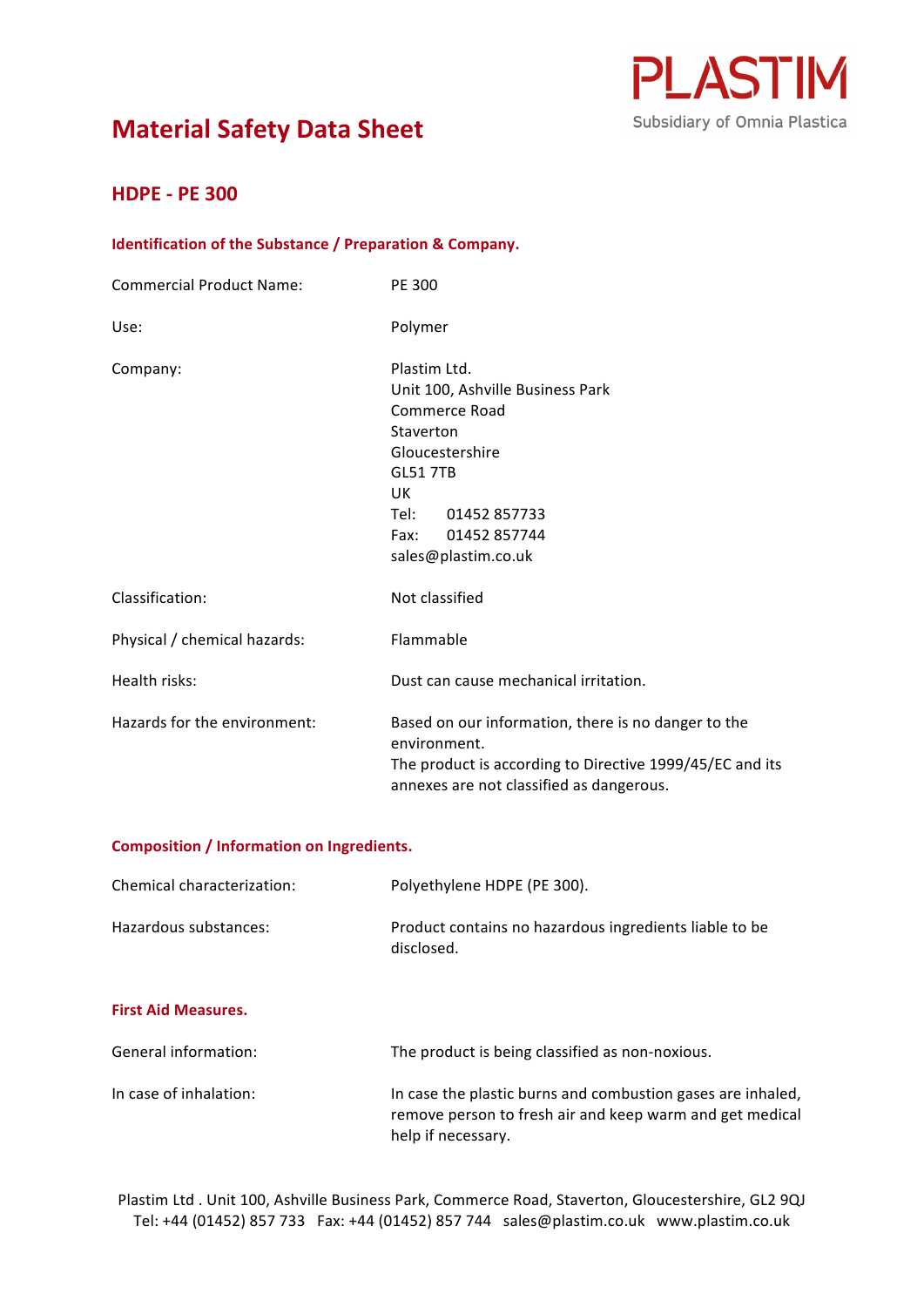



# **HDPE - PE 300**

### **Identification of the Substance / Preparation & Company.**

| <b>Commercial Product Name:</b> | PE 300                                                                                                                                                                                                      |
|---------------------------------|-------------------------------------------------------------------------------------------------------------------------------------------------------------------------------------------------------------|
| Use:                            | Polymer                                                                                                                                                                                                     |
| Company:                        | Plastim Ltd.<br>Unit 100, Ashville Business Park<br><b>Commerce Road</b><br>Staverton<br>Gloucestershire<br><b>GL51 7TB</b><br>UK.<br>01452 857733<br>Tel: T<br>01452 857744<br>Fax:<br>sales@plastim.co.uk |
| Classification:                 | Not classified                                                                                                                                                                                              |
| Physical / chemical hazards:    | Flammable                                                                                                                                                                                                   |
| Health risks:                   | Dust can cause mechanical irritation.                                                                                                                                                                       |
| Hazards for the environment:    | Based on our information, there is no danger to the<br>environment.<br>The product is according to Directive 1999/45/EC and its<br>annexes are not classified as dangerous.                                 |

### **Composition / Information on Ingredients.**

| Chemical characterization: | Polyethylene HDPE (PE 300).                                          |
|----------------------------|----------------------------------------------------------------------|
| Hazardous substances:      | Product contains no hazardous ingredients liable to be<br>disclosed. |

## **First Aid Measures.**

| General information:   | The product is being classified as non-noxious.                                                                                               |
|------------------------|-----------------------------------------------------------------------------------------------------------------------------------------------|
| In case of inhalation: | In case the plastic burns and combustion gases are inhaled,<br>remove person to fresh air and keep warm and get medical<br>help if necessary. |

Plastim Ltd . Unit 100, Ashville Business Park, Commerce Road, Staverton, Gloucestershire, GL2 9QJ Tel: +44 (01452) 857 733 Fax: +44 (01452) 857 744 sales@plastim.co.uk www.plastim.co.uk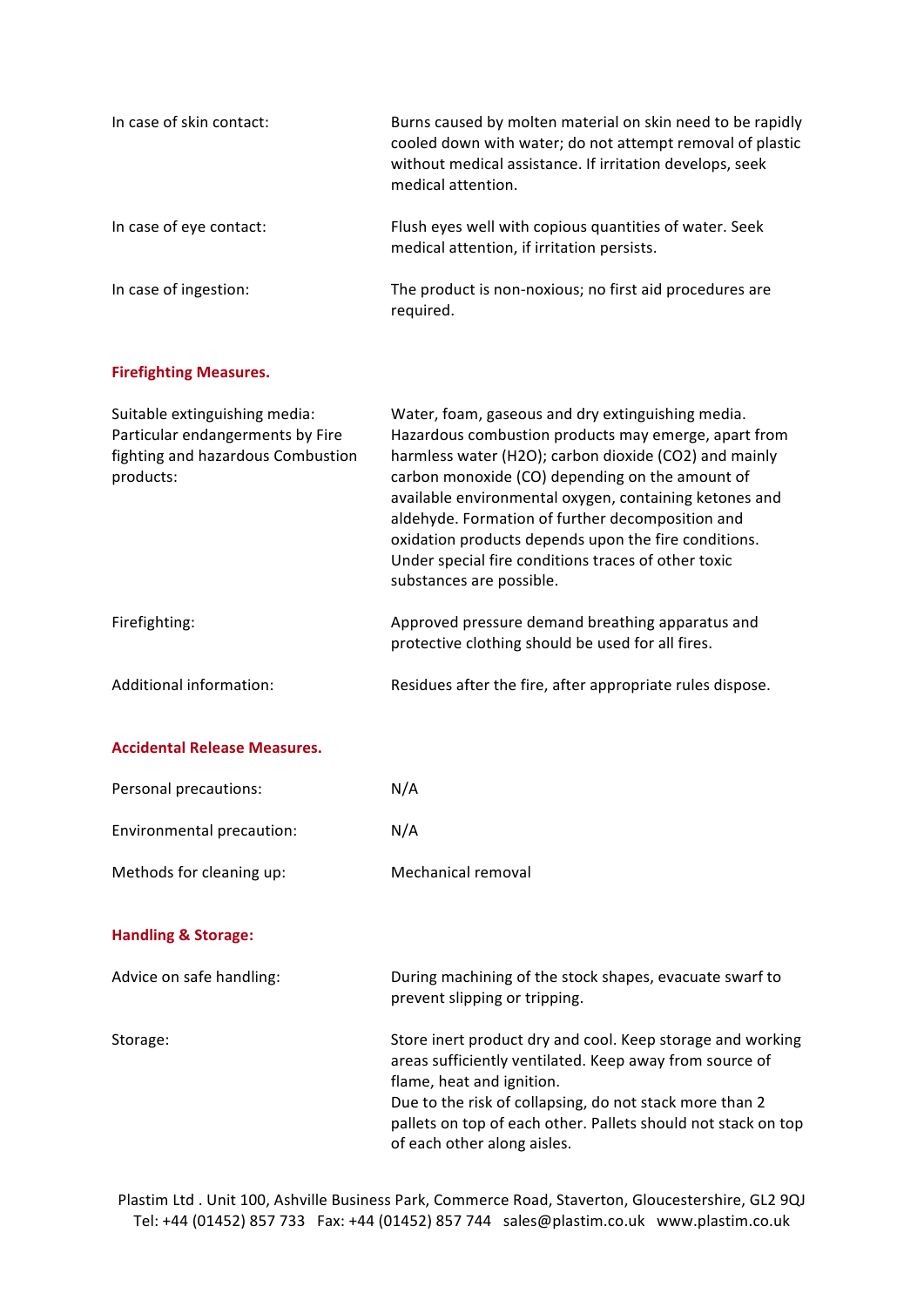| In case of skin contact: | Burns caused by molten material on skin need to be rapidly<br>cooled down with water; do not attempt removal of plastic<br>without medical assistance. If irritation develops, seek<br>medical attention. |
|--------------------------|-----------------------------------------------------------------------------------------------------------------------------------------------------------------------------------------------------------|
| In case of eye contact:  | Flush eyes well with copious quantities of water. Seek<br>medical attention, if irritation persists.                                                                                                      |
| In case of ingestion:    | The product is non-noxious; no first aid procedures are<br>required.                                                                                                                                      |

## **Firefighting Measures.**

| Suitable extinguishing media:<br>Particular endangerments by Fire<br>fighting and hazardous Combustion<br>products: | Water, foam, gaseous and dry extinguishing media.<br>Hazardous combustion products may emerge, apart from<br>harmless water (H2O); carbon dioxide (CO2) and mainly<br>carbon monoxide (CO) depending on the amount of<br>available environmental oxygen, containing ketones and<br>aldehyde. Formation of further decomposition and<br>oxidation products depends upon the fire conditions.<br>Under special fire conditions traces of other toxic<br>substances are possible. |
|---------------------------------------------------------------------------------------------------------------------|--------------------------------------------------------------------------------------------------------------------------------------------------------------------------------------------------------------------------------------------------------------------------------------------------------------------------------------------------------------------------------------------------------------------------------------------------------------------------------|
| Firefighting:                                                                                                       | Approved pressure demand breathing apparatus and<br>protective clothing should be used for all fires.                                                                                                                                                                                                                                                                                                                                                                          |
| Additional information:                                                                                             | Residues after the fire, after appropriate rules dispose.                                                                                                                                                                                                                                                                                                                                                                                                                      |

### **Accidental Release Measures.**

| Personal precautions:     | N/A                |
|---------------------------|--------------------|
| Environmental precaution: | N/A                |
| Methods for cleaning up:  | Mechanical removal |

## **Handling & Storage:**

| Advice on safe handling: | During machining of the stock shapes, evacuate swarf to<br>prevent slipping or tripping.                                                                |
|--------------------------|---------------------------------------------------------------------------------------------------------------------------------------------------------|
| Storage:                 | Store inert product dry and cool. Keep storage and working<br>areas sufficiently ventilated. Keep away from source of<br>flame, heat and ignition.      |
|                          | Due to the risk of collapsing, do not stack more than 2<br>pallets on top of each other. Pallets should not stack on top<br>of each other along aisles. |

Plastim Ltd . Unit 100, Ashville Business Park, Commerce Road, Staverton, Gloucestershire, GL2 9QJ Tel: +44 (01452) 857 733 Fax: +44 (01452) 857 744 sales@plastim.co.uk www.plastim.co.uk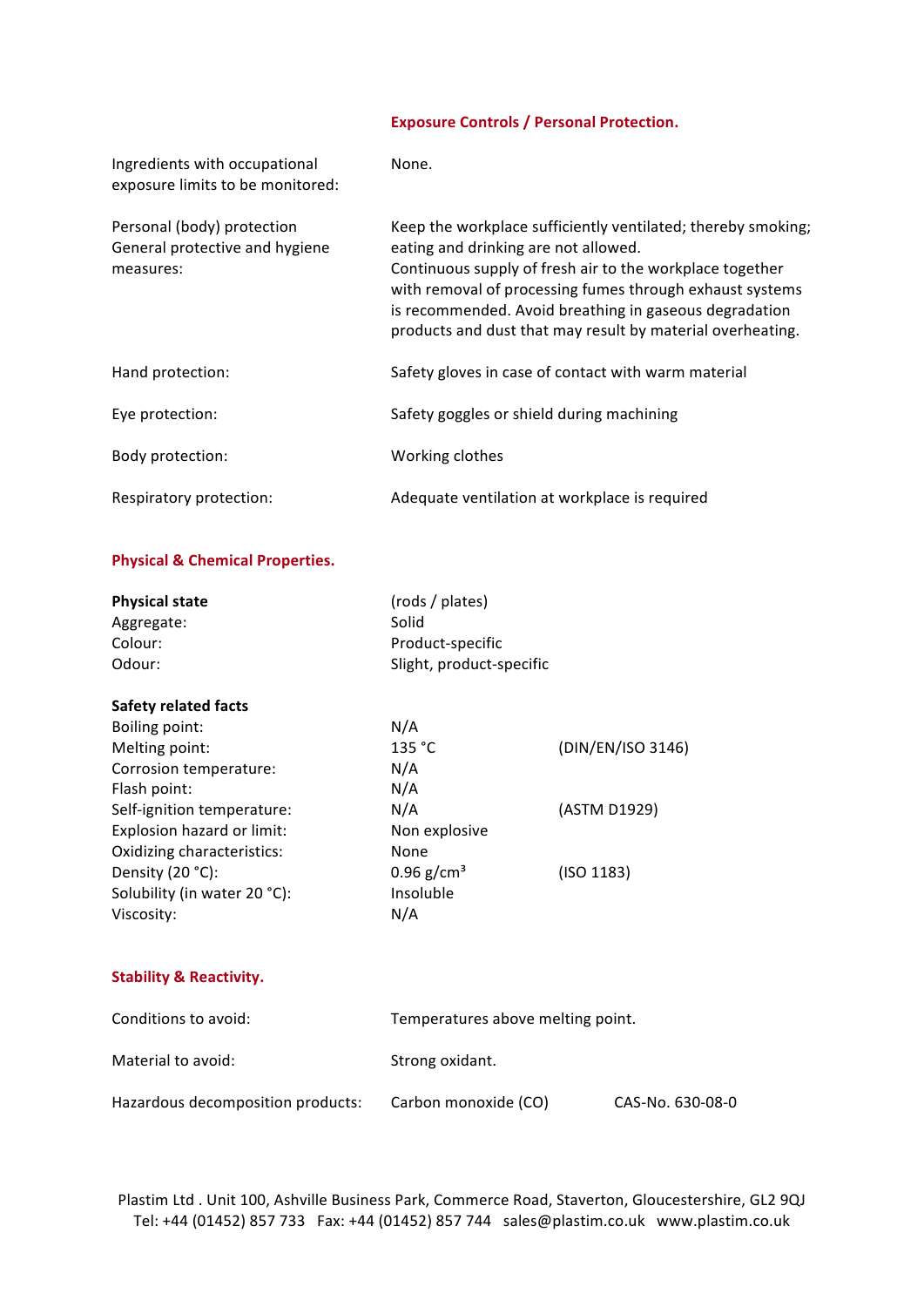## **Exposure Controls / Personal Protection.**

| Ingredients with occupational<br>exposure limits to be monitored:         | None.                                                                                                                                                                                                                                                                                                                                                |
|---------------------------------------------------------------------------|------------------------------------------------------------------------------------------------------------------------------------------------------------------------------------------------------------------------------------------------------------------------------------------------------------------------------------------------------|
| Personal (body) protection<br>General protective and hygiene<br>measures: | Keep the workplace sufficiently ventilated; thereby smoking;<br>eating and drinking are not allowed.<br>Continuous supply of fresh air to the workplace together<br>with removal of processing fumes through exhaust systems<br>is recommended. Avoid breathing in gaseous degradation<br>products and dust that may result by material overheating. |
| Hand protection:                                                          | Safety gloves in case of contact with warm material                                                                                                                                                                                                                                                                                                  |
| Eye protection:                                                           | Safety goggles or shield during machining                                                                                                                                                                                                                                                                                                            |
| Body protection:                                                          | Working clothes                                                                                                                                                                                                                                                                                                                                      |
| Respiratory protection:                                                   | Adequate ventilation at workplace is required                                                                                                                                                                                                                                                                                                        |

## **Physical & Chemical Properties.**

| <b>Physical state</b><br>(rods / plates)     |                   |
|----------------------------------------------|-------------------|
| Solid<br>Aggregate:                          |                   |
| Colour:<br>Product-specific                  |                   |
| Slight, product-specific<br>Odour:           |                   |
| <b>Safety related facts</b>                  |                   |
| N/A<br>Boiling point:                        |                   |
| 135 °C<br>Melting point:                     | (DIN/EN/ISO 3146) |
| N/A<br>Corrosion temperature:                |                   |
| N/A<br>Flash point:                          |                   |
| N/A<br>Self-ignition temperature:            | (ASTM D1929)      |
| Explosion hazard or limit:<br>Non explosive  |                   |
| Oxidizing characteristics:<br>None           |                   |
| $0.96$ g/cm <sup>3</sup><br>Density (20 °C): | (ISO 1183)        |
| Solubility (in water 20 °C):<br>Insoluble    |                   |
| N/A<br>Viscosity:                            |                   |

## **Stability & Reactivity.**

| Conditions to avoid:              | Temperatures above melting point. |                  |
|-----------------------------------|-----------------------------------|------------------|
| Material to avoid:                | Strong oxidant.                   |                  |
| Hazardous decomposition products: | Carbon monoxide (CO)              | CAS-No. 630-08-0 |

Plastim Ltd . Unit 100, Ashville Business Park, Commerce Road, Staverton, Gloucestershire, GL2 9QJ Tel: +44 (01452) 857 733 Fax: +44 (01452) 857 744 sales@plastim.co.uk www.plastim.co.uk